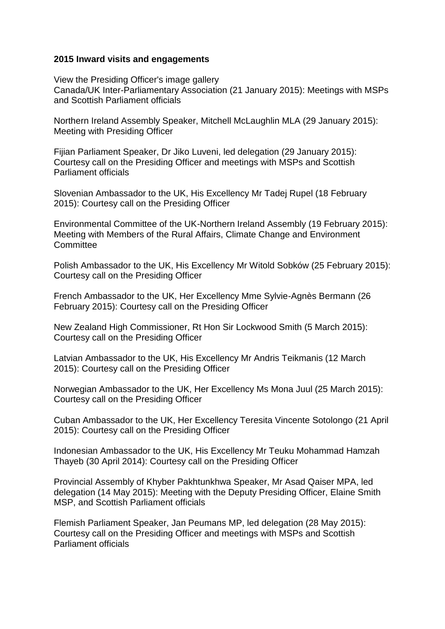## **2015 Inward visits and engagements**

View the Presiding Officer's image gallery Canada/UK Inter-Parliamentary Association (21 January 2015): Meetings with MSPs and Scottish Parliament officials

Northern Ireland Assembly Speaker, Mitchell McLaughlin MLA (29 January 2015): Meeting with Presiding Officer

Fiijan Parliament Speaker, Dr Jiko Luveni, led delegation (29 January 2015): Courtesy call on the Presiding Officer and meetings with MSPs and Scottish Parliament officials

Slovenian Ambassador to the UK, His Excellency Mr Tadej Rupel (18 February 2015): Courtesy call on the Presiding Officer

Environmental Committee of the UK-Northern Ireland Assembly (19 February 2015): Meeting with Members of the Rural Affairs, Climate Change and Environment **Committee** 

Polish Ambassador to the UK, His Excellency Mr Witold Sobków (25 February 2015): Courtesy call on the Presiding Officer

French Ambassador to the UK, Her Excellency Mme Sylvie-Agnès Bermann (26 February 2015): Courtesy call on the Presiding Officer

New Zealand High Commissioner, Rt Hon Sir Lockwood Smith (5 March 2015): Courtesy call on the Presiding Officer

Latvian Ambassador to the UK, His Excellency Mr Andris Teikmanis (12 March 2015): Courtesy call on the Presiding Officer

Norwegian Ambassador to the UK, Her Excellency Ms Mona Juul (25 March 2015): Courtesy call on the Presiding Officer

Cuban Ambassador to the UK, Her Excellency Teresita Vincente Sotolongo (21 April 2015): Courtesy call on the Presiding Officer

Indonesian Ambassador to the UK, His Excellency Mr Teuku Mohammad Hamzah Thayeb (30 April 2014): Courtesy call on the Presiding Officer

Provincial Assembly of Khyber Pakhtunkhwa Speaker, Mr Asad Qaiser MPA, led delegation (14 May 2015): Meeting with the Deputy Presiding Officer, Elaine Smith MSP, and Scottish Parliament officials

Flemish Parliament Speaker, Jan Peumans MP, led delegation (28 May 2015): Courtesy call on the Presiding Officer and meetings with MSPs and Scottish Parliament officials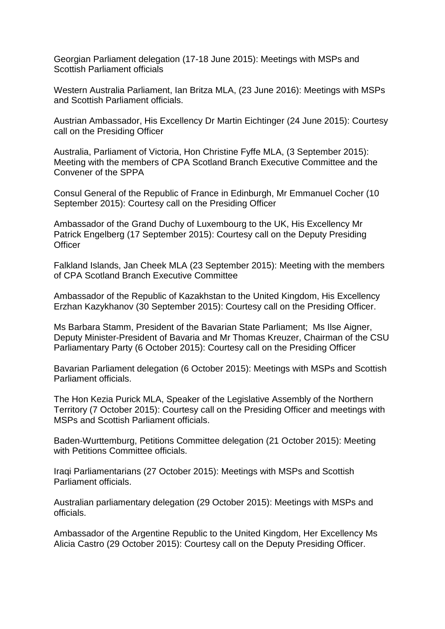Georgian Parliament delegation (17-18 June 2015): Meetings with MSPs and Scottish Parliament officials

Western Australia Parliament, Ian Britza MLA, (23 June 2016): Meetings with MSPs and Scottish Parliament officials.

Austrian Ambassador, His Excellency Dr Martin Eichtinger (24 June 2015): Courtesy call on the Presiding Officer

Australia, Parliament of Victoria, Hon Christine Fyffe MLA, (3 September 2015): Meeting with the members of CPA Scotland Branch Executive Committee and the Convener of the SPPA

Consul General of the Republic of France in Edinburgh, Mr Emmanuel Cocher (10 September 2015): Courtesy call on the Presiding Officer

Ambassador of the Grand Duchy of Luxembourg to the UK, His Excellency Mr Patrick Engelberg (17 September 2015): Courtesy call on the Deputy Presiding **Officer** 

Falkland Islands, Jan Cheek MLA (23 September 2015): Meeting with the members of CPA Scotland Branch Executive Committee

Ambassador of the Republic of Kazakhstan to the United Kingdom, His Excellency Erzhan Kazykhanov (30 September 2015): Courtesy call on the Presiding Officer.

Ms Barbara Stamm, President of the Bavarian State Parliament; Ms Ilse Aigner, Deputy Minister-President of Bavaria and Mr Thomas Kreuzer, Chairman of the CSU Parliamentary Party (6 October 2015): Courtesy call on the Presiding Officer

Bavarian Parliament delegation (6 October 2015): Meetings with MSPs and Scottish Parliament officials.

The Hon Kezia Purick MLA, Speaker of the Legislative Assembly of the Northern Territory (7 October 2015): Courtesy call on the Presiding Officer and meetings with MSPs and Scottish Parliament officials.

Baden-Wurttemburg, Petitions Committee delegation (21 October 2015): Meeting with Petitions Committee officials.

Iraqi Parliamentarians (27 October 2015): Meetings with MSPs and Scottish Parliament officials.

Australian parliamentary delegation (29 October 2015): Meetings with MSPs and officials.

Ambassador of the Argentine Republic to the United Kingdom, Her Excellency Ms Alicia Castro (29 October 2015): Courtesy call on the Deputy Presiding Officer.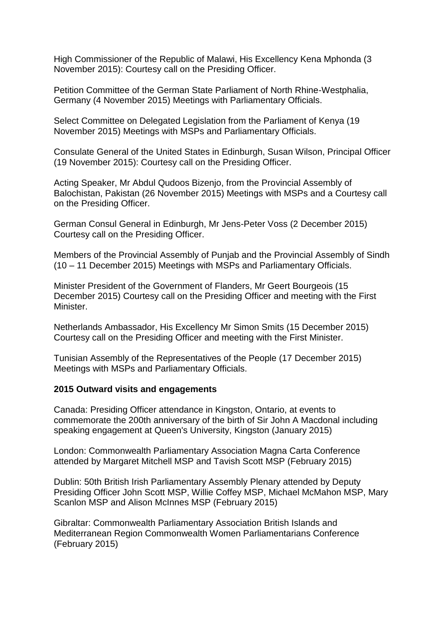High Commissioner of the Republic of Malawi, His Excellency Kena Mphonda (3 November 2015): Courtesy call on the Presiding Officer.

Petition Committee of the German State Parliament of North Rhine-Westphalia, Germany (4 November 2015) Meetings with Parliamentary Officials.

Select Committee on Delegated Legislation from the Parliament of Kenya (19 November 2015) Meetings with MSPs and Parliamentary Officials.

Consulate General of the United States in Edinburgh, Susan Wilson, Principal Officer (19 November 2015): Courtesy call on the Presiding Officer.

Acting Speaker, Mr Abdul Qudoos Bizenjo, from the Provincial Assembly of Balochistan, Pakistan (26 November 2015) Meetings with MSPs and a Courtesy call on the Presiding Officer.

German Consul General in Edinburgh, Mr Jens-Peter Voss (2 December 2015) Courtesy call on the Presiding Officer.

Members of the Provincial Assembly of Punjab and the Provincial Assembly of Sindh (10 – 11 December 2015) Meetings with MSPs and Parliamentary Officials.

Minister President of the Government of Flanders, Mr Geert Bourgeois (15 December 2015) Courtesy call on the Presiding Officer and meeting with the First Minister.

Netherlands Ambassador, His Excellency Mr Simon Smits (15 December 2015) Courtesy call on the Presiding Officer and meeting with the First Minister.

Tunisian Assembly of the Representatives of the People (17 December 2015) Meetings with MSPs and Parliamentary Officials.

## **2015 Outward visits and engagements**

Canada: Presiding Officer attendance in Kingston, Ontario, at events to commemorate the 200th anniversary of the birth of Sir John A Macdonal including speaking engagement at Queen's University, Kingston (January 2015)

London: Commonwealth Parliamentary Association Magna Carta Conference attended by Margaret Mitchell MSP and Tavish Scott MSP (February 2015)

Dublin: 50th British Irish Parliamentary Assembly Plenary attended by Deputy Presiding Officer John Scott MSP, Willie Coffey MSP, Michael McMahon MSP, Mary Scanlon MSP and Alison McInnes MSP (February 2015)

Gibraltar: Commonwealth Parliamentary Association British Islands and Mediterranean Region Commonwealth Women Parliamentarians Conference (February 2015)